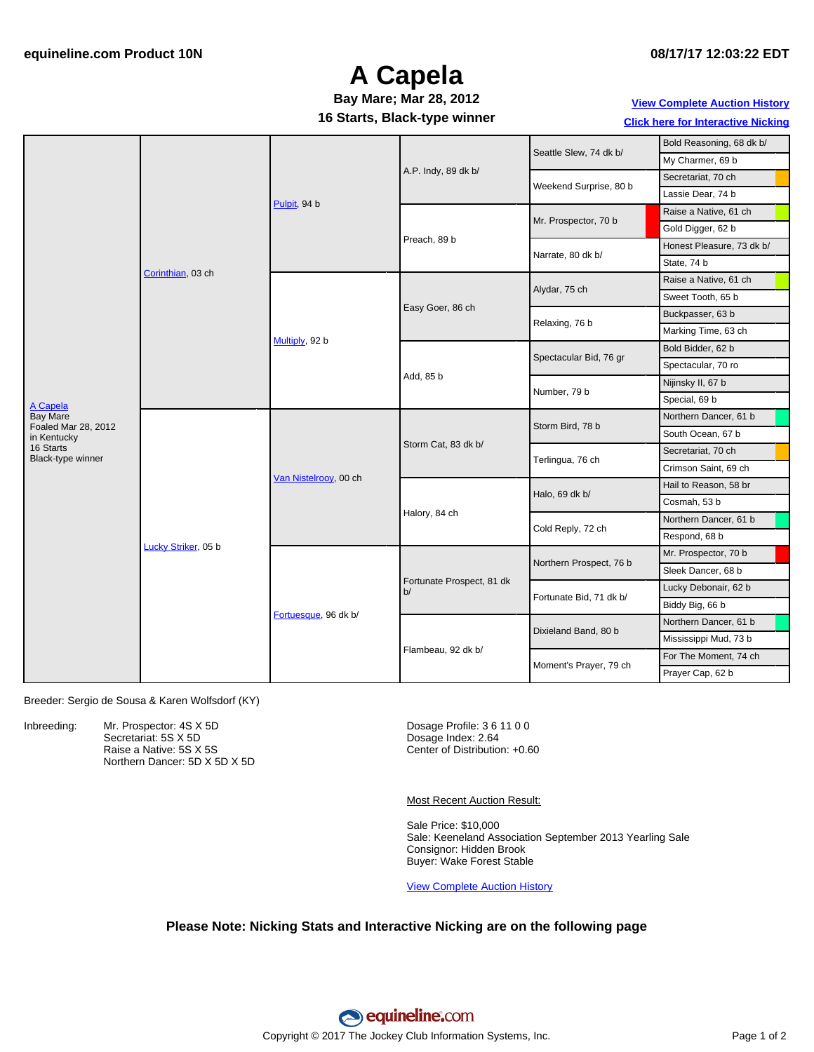## **A Capela**

#### **16 Starts, Black-type winner Bay Mare; Mar 28, 2012**

#### **View [Complete](http://www.equineline.com/Free-Auction-Results.cfm?upsellReferenceNumber=&upsellHorseName=&upsellBreedType=&upsellHorseType=&upsellYOB=&lookupAuctionResults=true&tempHorseType=&tempSale=ALL&tempYear=ALL&search_type=HORSE&reference_number=9315914&horse_name=Fateful&horse_type=ALL&year=ALL&sale=ALL&consignor_id=&consignor_name=&buyer_id=&buyer_name=&price_range_low=&price_range_high=&availableConsignors=&availableBuyers=&fromFree5CrossPedigree=Y) Auction History Click here for [Interactive](#page-1-0) Nicking**

| Seattle Slew, 74 dk b/<br>My Charmer, 69 b<br>A.P. Indy, 89 dk b/<br>Secretariat, 70 ch<br>Weekend Surprise, 80 b<br>Lassie Dear, 74 b<br>Pulpit, 94 b<br>Raise a Native, 61 ch<br>Mr. Prospector, 70 b |  |
|---------------------------------------------------------------------------------------------------------------------------------------------------------------------------------------------------------|--|
|                                                                                                                                                                                                         |  |
|                                                                                                                                                                                                         |  |
|                                                                                                                                                                                                         |  |
|                                                                                                                                                                                                         |  |
| Gold Digger, 62 b                                                                                                                                                                                       |  |
| Preach, 89 b<br>Honest Pleasure, 73 dk b/<br>Narrate, 80 dk b/                                                                                                                                          |  |
| State, 74 b                                                                                                                                                                                             |  |
| Corinthian, 03 ch<br>Raise a Native, 61 ch<br>Alydar, 75 ch                                                                                                                                             |  |
| Sweet Tooth, 65 b                                                                                                                                                                                       |  |
| Easy Goer, 86 ch<br>Buckpasser, 63 b<br>Relaxing, 76 b                                                                                                                                                  |  |
| Marking Time, 63 ch                                                                                                                                                                                     |  |
| Multiply, 92 b<br>Bold Bidder, 62 b                                                                                                                                                                     |  |
| Spectacular Bid, 76 gr<br>Spectacular, 70 ro                                                                                                                                                            |  |
| Add, 85 b<br>Nijinsky II, 67 b<br>Number, 79 b                                                                                                                                                          |  |
| Special, 69 b<br>A Capela                                                                                                                                                                               |  |
| <b>Bay Mare</b><br>Northern Dancer, 61 b                                                                                                                                                                |  |
| Storm Bird, 78 b<br>Foaled Mar 28, 2012<br>South Ocean, 67 b<br>in Kentucky                                                                                                                             |  |
| Storm Cat, 83 dk b/<br>16 Starts<br>Secretariat, 70 ch<br>Black-type winner                                                                                                                             |  |
| Terlingua, 76 ch<br>Crimson Saint, 69 ch                                                                                                                                                                |  |
| Van Nistelroov, 00 ch<br>Hail to Reason, 58 br<br>Halo, 69 dk b/                                                                                                                                        |  |
| Cosmah, 53 b                                                                                                                                                                                            |  |
| Halory, 84 ch<br>Northern Dancer, 61 b                                                                                                                                                                  |  |
| Cold Reply, 72 ch<br>Respond, 68 b                                                                                                                                                                      |  |
| Lucky Striker, 05 b<br>Mr. Prospector, 70 b<br>Northern Prospect, 76 b                                                                                                                                  |  |
| Sleek Dancer, 68 b                                                                                                                                                                                      |  |
| Fortunate Prospect, 81 dk<br>Lucky Debonair, 62 b<br>b/<br>Fortunate Bid, 71 dk b/                                                                                                                      |  |
| Biddy Big, 66 b                                                                                                                                                                                         |  |
| Fortuesque, 96 dk b/<br>Northern Dancer, 61 b                                                                                                                                                           |  |
| Dixieland Band, 80 b<br>Mississippi Mud, 73 b                                                                                                                                                           |  |
| Flambeau, 92 dk b/<br>For The Moment, 74 ch                                                                                                                                                             |  |
| Moment's Prayer, 79 ch<br>Prayer Cap, 62 b                                                                                                                                                              |  |

Breeder: Sergio de Sousa & Karen Wolfsdorf (KY)

Inbreeding: Mr. Prospector: 4S X 5D Secretariat: 5S X 5D Raise a Native: 5S X 5S Northern Dancer: 5D X 5D X 5D Dosage Profile: 3 6 11 0 0 Dosage Index: 2.64 Center of Distribution: +0.60

Most Recent Auction Result:

Sale Price: \$10,000 Sale: Keeneland Association September 2013 Yearling Sale Consignor: Hidden Brook Buyer: Wake Forest Stable

View [Complete](http://www.equineline.com/Free-Auction-Results.cfm?upsellReferenceNumber=&upsellHorseName=&upsellBreedType=&upsellHorseType=&upsellYOB=&lookupAuctionResults=true&tempHorseType=&tempSale=ALL&tempYear=ALL&search_type=HORSE&reference_number=9315914&horse_name=Fateful&horse_type=ALL&year=ALL&sale=ALL&consignor_id=&consignor_name=&buyer_id=&buyer_name=&price_range_low=&price_range_high=&availableConsignors=&availableBuyers=&fromFree5CrossPedigree=Y) Auction History

#### **Please Note: Nicking Stats and Interactive Nicking are on the following page**

equineline:com Copyright © 2017 The Jockey Club Information Systems, Inc. The Contract of 2 Page 1 of 2